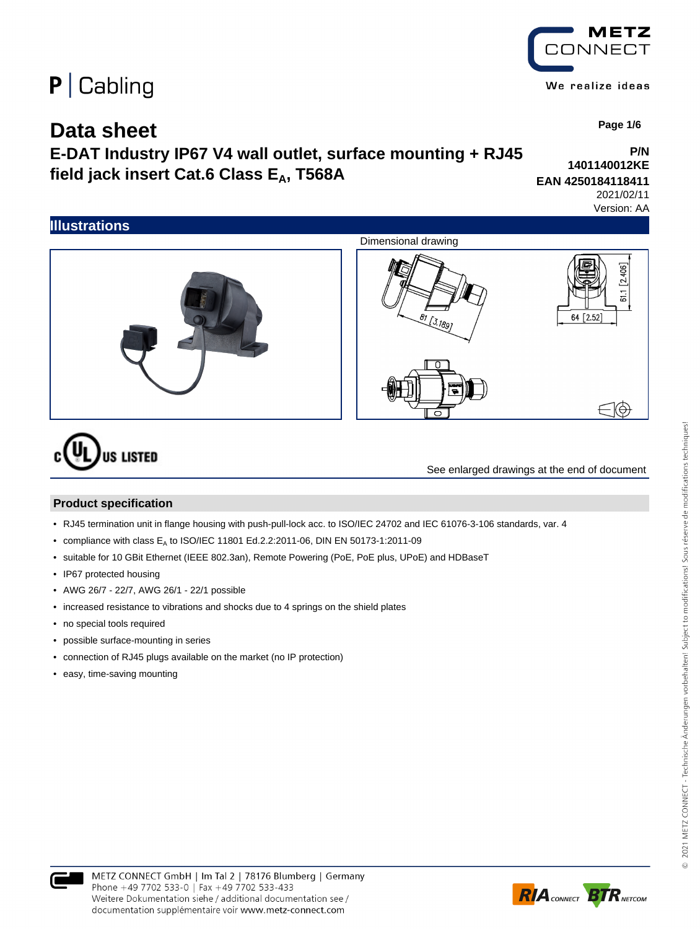## **Data sheet**

**E-DAT Industry IP67 V4 wall outlet, surface mounting + RJ45** field jack insert Cat.6 Class E<sub>A</sub>, T568A

**EAN 4250184118411** 2021/02/11

Version: AA



# **US LISTED**

See enlarged drawings at the end of document

#### **Product specification**

- RJ45 termination unit in flange housing with push-pull-lock acc. to ISO/IEC 24702 and IEC 61076-3-106 standards, var. 4
- compliance with class  $E_A$  to ISO/IEC 11801 Ed.2.2:2011-06, DIN EN 50173-1:2011-09
- suitable for 10 GBit Ethernet (IEEE 802.3an), Remote Powering (PoE, PoE plus, UPoE) and HDBaseT
- IP67 protected housing
- AWG 26/7 22/7, AWG 26/1 22/1 possible
- increased resistance to vibrations and shocks due to 4 springs on the shield plates
- no special tools required
- possible surface-mounting in series
- connection of RJ45 plugs available on the market (no IP protection)
- easy, time-saving mounting



METZ CONNECT We realize ideas



 **Page 1/6**

**P/N**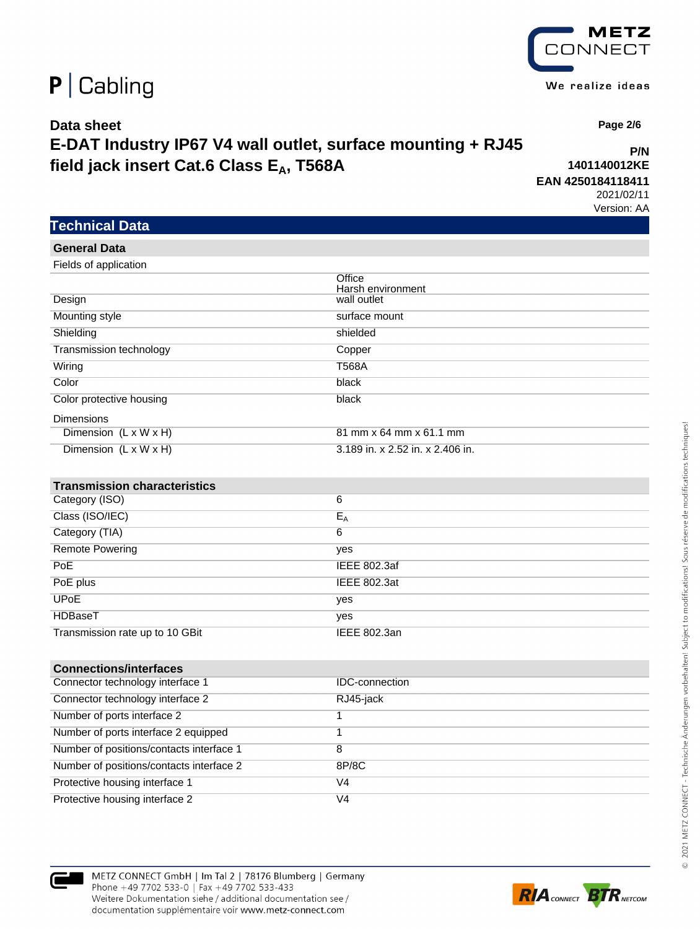### **Data sheet E-DAT Industry IP67 V4 wall outlet, surface mounting + RJ45** field jack insert Cat.6 Class E<sub>A</sub>, T568A

**P/N 1401140012KE EAN 4250184118411**

2021/02/11 Version: AA

 **Page 2/6**

| Fields of application               |                                  |
|-------------------------------------|----------------------------------|
|                                     | Office<br>Harsh environment      |
| Design                              | wall outlet                      |
| Mounting style                      | surface mount                    |
| Shielding                           | shielded                         |
| Transmission technology             | Copper                           |
| Wiring                              | <b>T568A</b>                     |
| Color                               | black                            |
| Color protective housing            | black                            |
| <b>Dimensions</b>                   |                                  |
| Dimension (L x W x H)               | 81 mm x 64 mm x 61.1 mm          |
| Dimension (L x W x H)               | 3.189 in. x 2.52 in. x 2.406 in. |
|                                     |                                  |
|                                     |                                  |
| <b>Transmission characteristics</b> |                                  |
| Category (ISO)                      | 6                                |
| Class (ISO/IEC)                     | $E_A$                            |
| Category (TIA)                      | 6                                |
| <b>Remote Powering</b>              | yes                              |
| PoE                                 | <b>IEEE 802.3af</b>              |
| PoE plus                            | <b>IEEE 802.3at</b>              |
| <b>UP<sub>o</sub>E</b>              | yes                              |
| HDBaseT                             | yes                              |
| Transmission rate up to 10 GBit     | <b>IEEE 802.3an</b>              |
|                                     |                                  |
| <b>Connections/interfaces</b>       |                                  |

| Connector technology interface 1         | <b>IDC-connection</b> |
|------------------------------------------|-----------------------|
| Connector technology interface 2         | RJ45-jack             |
| Number of ports interface 2              |                       |
| Number of ports interface 2 equipped     |                       |
| Number of positions/contacts interface 1 |                       |
| Number of positions/contacts interface 2 | 8P/8C                 |
| Protective housing interface 1           | V4                    |
| Protective housing interface 2           | V4                    |





**Technical Data**

**General Data**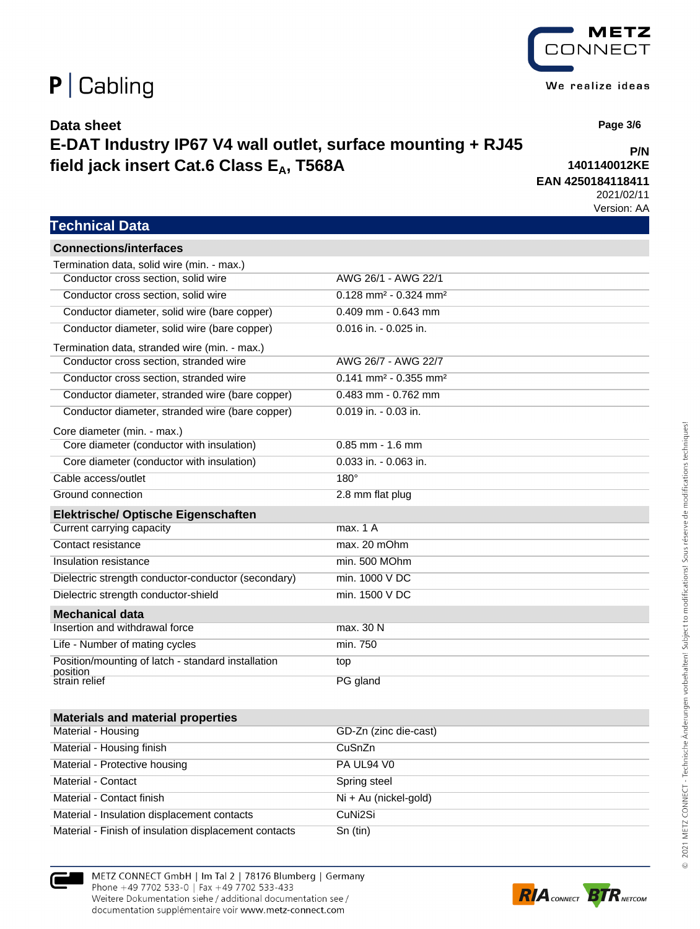### **Data sheet**

### **E-DAT Industry IP67 V4 wall outlet, surface mounting + RJ45** field jack insert Cat.6 Class E<sub>A</sub>, T568A

 **Page 3/6**

#### **1401140012KE EAN 4250184118411**

2021/02/11 Version: AA

**P/N**

### **Technical Data**

| <b>Connections/interfaces</b>                                  |                                                 |
|----------------------------------------------------------------|-------------------------------------------------|
| Termination data, solid wire (min. - max.)                     |                                                 |
| Conductor cross section, solid wire                            | AWG 26/1 - AWG 22/1                             |
| Conductor cross section, solid wire                            | $0.128$ mm <sup>2</sup> - 0.324 mm <sup>2</sup> |
| Conductor diameter, solid wire (bare copper)                   | $0.409$ mm - $0.643$ mm                         |
| Conductor diameter, solid wire (bare copper)                   | 0.016 in. - 0.025 in.                           |
| Termination data, stranded wire (min. - max.)                  |                                                 |
| Conductor cross section, stranded wire                         | AWG 26/7 - AWG 22/7                             |
| Conductor cross section, stranded wire                         | $0.141$ mm <sup>2</sup> - 0.355 mm <sup>2</sup> |
| Conductor diameter, stranded wire (bare copper)                | 0.483 mm - 0.762 mm                             |
| Conductor diameter, stranded wire (bare copper)                | 0.019 in. - 0.03 in.                            |
| Core diameter (min. - max.)                                    |                                                 |
| Core diameter (conductor with insulation)                      | $0.85$ mm - 1.6 mm                              |
| Core diameter (conductor with insulation)                      | 0.033 in. - 0.063 in.                           |
| Cable access/outlet                                            | $180^\circ$                                     |
| Ground connection                                              | 2.8 mm flat plug                                |
| Elektrische/ Optische Eigenschaften                            |                                                 |
| Current carrying capacity                                      | max. 1 A                                        |
| Contact resistance                                             | max. 20 mOhm                                    |
| Insulation resistance                                          | min. 500 MOhm                                   |
| Dielectric strength conductor-conductor (secondary)            | min. 1000 V DC                                  |
| Dielectric strength conductor-shield                           | min. 1500 V DC                                  |
| <b>Mechanical data</b>                                         |                                                 |
| Insertion and withdrawal force                                 | max. 30 N                                       |
| Life - Number of mating cycles                                 | min. 750                                        |
| Position/mounting of latch - standard installation<br>position | top                                             |
| strain relief                                                  | PG gland                                        |
|                                                                |                                                 |
| <b>Materials and material properties</b>                       |                                                 |
| Material - Housing                                             | GD-Zn (zinc die-cast)                           |
| Material - Housing finish                                      | CuSnZn                                          |
| Material - Protective housing                                  | PA UL94 V0                                      |
| Material - Contact                                             | Spring steel                                    |
| Material - Contact finish                                      | Ni + Au (nickel-gold)                           |
| Material - Insulation displacement contacts                    | CuNi2Si                                         |
| Material - Finish of insulation displacement contacts          | Sn (tin)                                        |

METZ CONNECT GmbH | Im Tal 2 | 78176 Blumberg | Germany Phone +49 7702 533-0 | Fax +49 7702 533-433 Weitere Dokumentation siehe / additional documentation see / documentation supplémentaire voir www.metz-connect.com



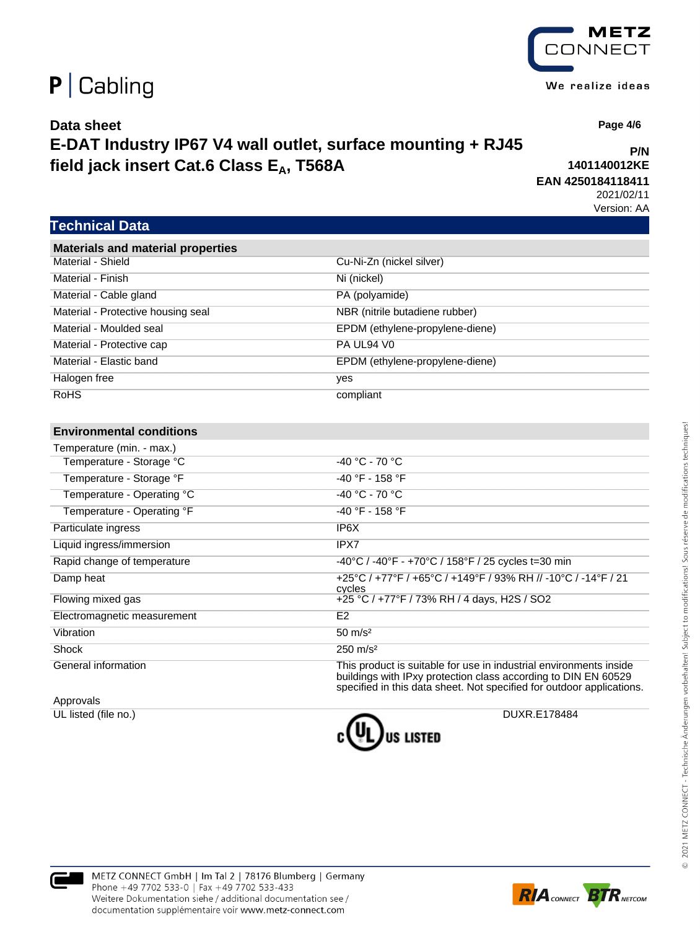### **Data sheet E-DAT Industry IP67 V4 wall outlet, surface mounting + RJ45** field jack insert Cat.6 Class E<sub>A</sub>, T568A

**P/N 1401140012KE**

**EAN 4250184118411** 2021/02/11

Version: AA

### **Technical Data**

| <b>Materials and material properties</b> |                                 |
|------------------------------------------|---------------------------------|
| Material - Shield                        | Cu-Ni-Zn (nickel silver)        |
| Material - Finish                        | Ni (nickel)                     |
| Material - Cable gland                   | PA (polyamide)                  |
| Material - Protective housing seal       | NBR (nitrile butadiene rubber)  |
| Material - Moulded seal                  | EPDM (ethylene-propylene-diene) |
| Material - Protective cap                | PA UL94 V0                      |
| Material - Elastic band                  | EPDM (ethylene-propylene-diene) |
| Halogen free                             | yes                             |
| <b>RoHS</b>                              | compliant                       |

#### **Environmental conditions**

| Temperature (min. - max.)   |                                                                                                                                                                                                               |
|-----------------------------|---------------------------------------------------------------------------------------------------------------------------------------------------------------------------------------------------------------|
| Temperature - Storage °C    | -40 °C - 70 °C                                                                                                                                                                                                |
| Temperature - Storage °F    | $-40$ °F - 158 °F                                                                                                                                                                                             |
| Temperature - Operating °C  | $-40 °C - 70 °C$                                                                                                                                                                                              |
| Temperature - Operating °F  | $-40$ °F - 158 °F                                                                                                                                                                                             |
| Particulate ingress         | IP6X                                                                                                                                                                                                          |
| Liquid ingress/immersion    | IPX7                                                                                                                                                                                                          |
| Rapid change of temperature | -40°C / -40°F - +70°C / 158°F / 25 cycles t=30 min                                                                                                                                                            |
| Damp heat                   | +25°C / +77°F / +65°C / +149°F / 93% RH // -10°C / -14°F / 21<br>cycles                                                                                                                                       |
| Flowing mixed gas           | +25 °C / +77°F / 73% RH / 4 days, H2S / SO2                                                                                                                                                                   |
| Electromagnetic measurement | E <sub>2</sub>                                                                                                                                                                                                |
| Vibration                   | $50 \; \text{m/s}^2$                                                                                                                                                                                          |
| Shock                       | $250 \text{ m/s}^2$                                                                                                                                                                                           |
| General information         | This product is suitable for use in industrial environments inside<br>buildings with IPxy protection class according to DIN EN 60529<br>specified in this data sheet. Not specified for outdoor applications. |

Approvals







METZ CONNECT We realize ideas

 **Page 4/6**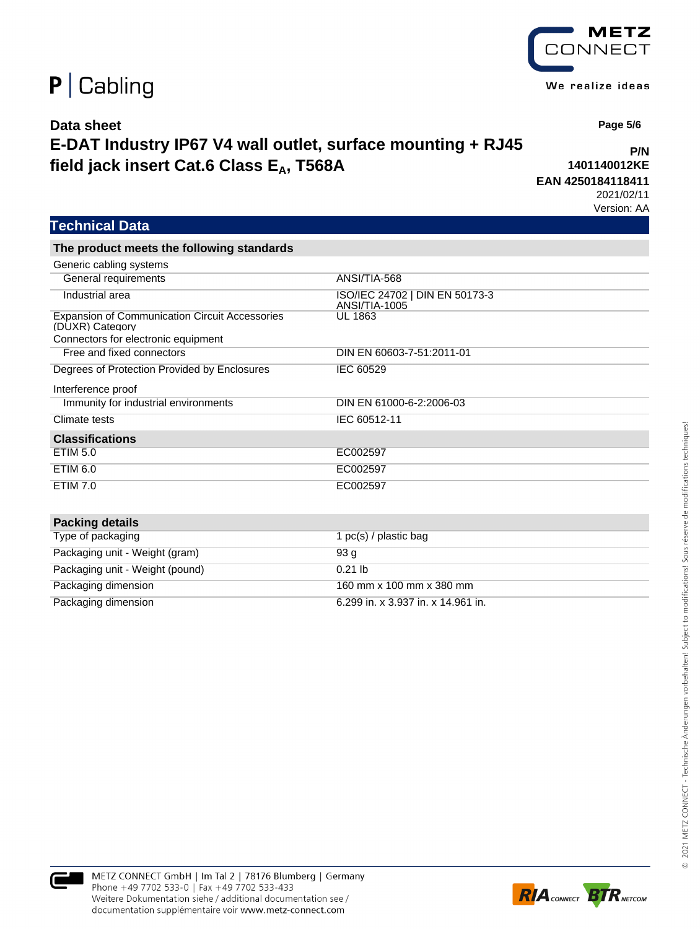### **Data sheet E-DAT Industry IP67 V4 wall outlet, surface mounting + RJ45** field jack insert Cat.6 Class E<sub>A</sub>, T568A

**P/N 1401140012KE**

**EAN 4250184118411** 2021/02/11

Version: AA

### **Technical Data**

**The product meets the following standards**

| Generic cabling systems                                                  |                                                 |
|--------------------------------------------------------------------------|-------------------------------------------------|
| General requirements                                                     | ANSI/TIA-568                                    |
| Industrial area                                                          | ISO/IEC 24702   DIN EN 50173-3<br>ANSI/TIA-1005 |
| <b>Expansion of Communication Circuit Accessories</b><br>(DUXR) Category | UL 1863                                         |
| Connectors for electronic equipment                                      |                                                 |
| Free and fixed connectors                                                | DIN EN 60603-7-51:2011-01                       |
| Degrees of Protection Provided by Enclosures                             | IEC 60529                                       |
| Interference proof                                                       |                                                 |
| Immunity for industrial environments                                     | DIN EN 61000-6-2:2006-03                        |
| Climate tests                                                            | IEC 60512-11                                    |
| <b>Classifications</b>                                                   |                                                 |
| <b>ETIM 5.0</b>                                                          | EC002597                                        |
| ETIM 6.0                                                                 | EC002597                                        |
| <b>ETIM 7.0</b>                                                          | EC002597                                        |
|                                                                          |                                                 |
| <b>Packing details</b>                                                   |                                                 |
| Type of packaging                                                        | 1 $pc(s)$ / plastic bag                         |
| Packaging unit - Weight (gram)                                           | 93 g                                            |
| Packaging unit - Weight (pound)                                          | $0.21$ lb                                       |
| Packaging dimension                                                      | 160 mm x 100 mm x 380 mm                        |
| Packaging dimension                                                      | 6.299 in. x 3.937 in. x 14.961 in.              |







 **Page 5/6**